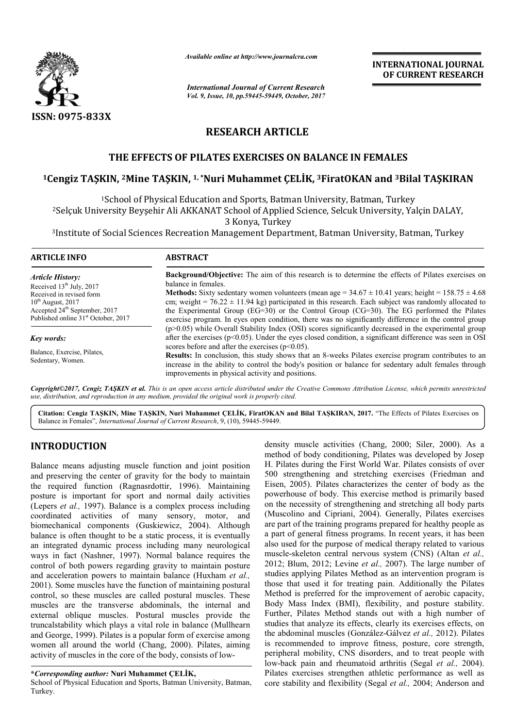

*Available online at http://www.journal http://www.journalcra.com*

*International Journal of Current Research Vol. 9, Issue, 10, pp.59445-59449, October, 2017* **INTERNATIONAL JOURNAL OF CURRENT RESEARCH** 

# **RESEARCH ARTICLE**

# **THE EFFECTS OF PILATES EXERCISES ON BALANCE IN FEMALES**

# THE EFFECTS OF PILATES EXERCISES ON BALANCE IN FEMALES<br><sup>1</sup>Cengiz TAŞKIN, <sup>2</sup>Mine TAŞKIN, <sup>1, \*</sup>Nuri Muhammet ÇELİK, <sup>3</sup>FiratOKAN and <sup>3</sup>Bilal TAŞKIRAN

<sup>1</sup>School of Physical Education and Sports, Batman University, Batman, Turkey 2Selçuk University Beyşehir Ali AKKANAT School of Applied Science, Selcuk University, Yalçin DALAY, Selçuk 3 Konya, Turkey <sup>2</sup>Selçuk University Beyşehir Ali AKKANAT School of Applied Science, Selcuk University, Yalçin DALAY,<br>3 Konya, Turkey<br>19 Institute of Social Sciences Recreation Management Department, Batman University, Batman, Turkey

| <b>ARTICLE INFO</b>                                                                                                                                | <b>ABSTRACT</b>                                                                                                                                                                                                                                                                                                                                                                                                                       |  |  |  |  |  |  |  |
|----------------------------------------------------------------------------------------------------------------------------------------------------|---------------------------------------------------------------------------------------------------------------------------------------------------------------------------------------------------------------------------------------------------------------------------------------------------------------------------------------------------------------------------------------------------------------------------------------|--|--|--|--|--|--|--|
| <i><b>Article History:</b></i><br>Received $13th$ July, 2017                                                                                       | <b>Background/Objective:</b> The aim of this research is to determine the effects of Pilates exercises on<br>balance in females.                                                                                                                                                                                                                                                                                                      |  |  |  |  |  |  |  |
| Received in revised form<br>$10^{th}$ August, 2017<br>Accepted 24 <sup>th</sup> September, 2017<br>Published online 31 <sup>st</sup> October, 2017 | <b>Methods:</b> Sixty sedentary women volunteers (mean age = $34.67 \pm 10.41$ years; height = $158.75 \pm 4.68$<br>cm; weight = $76.22 \pm 11.94$ kg) participated in this research. Each subject was randomly allocated to<br>the Experimental Group (EG=30) or the Control Group ( $CG=30$ ). The EG performed the Pilates<br>exercise program. In eyes open condition, there was no significantly difference in the control group |  |  |  |  |  |  |  |
| Key words:                                                                                                                                         | $(p>0.05)$ while Overall Stability Index (OSI) scores significantly decreased in the experimental group<br>after the exercises ( $p<0.05$ ). Under the eyes closed condition, a significant difference was seen in OSI<br>scores before and after the exercises $(p<0.05)$ .                                                                                                                                                          |  |  |  |  |  |  |  |
| Balance, Exercise, Pilates,<br>Sedentary, Women.                                                                                                   | <b>Results:</b> In conclusion, this study shows that an 8-weeks Pilates exercise program contributes to an<br>increase in the ability to control the body's position or balance for sedentary adult females through<br>improvements in physical activity and positions.                                                                                                                                                               |  |  |  |  |  |  |  |

*Copyright©2017, Cengiz TAŞKIN et al. This is an open access article distributed under the Creative Commons Att Attribution License, which ribution permits unrestricted use, distribution, and reproduction in any medium, provided the original work is properly cited.*

Citation: Cengiz TAŞKIN, Mine TAŞKIN, Nuri Muhammet ÇELİK, FiratOKAN and Bilal TAŞKIRAN, 2017. "The Effects of Pilates Exercises on Balance in Females", *International Journal of Current Research* , 9, (10), 59445-59449.

# **INTRODUCTION**

Balance means adjusting muscle function and joint position and preserving the center of gravity for the body to maintain the required function (Ragnasrdottir, 1996 Ragnasrdottir, 1996). Maintaining posture is important for sport and normal daily activities (Lepers *et al.,* 1997). Balance is a complex process including coordinated activities of many sensory, motor, and biomechanical components (Guskiewicz, 2004 Guskiewicz, 2004). Although balance is often thought to be a static process, it is eventually an integrated dynamic process including many neurological ways in fact (Nashner, 1997). Normal balance requires the control of both powers regarding gravity to maintain posture and acceleration powers to maintain balance (Huxham *et al.,*  2001). Some muscles have the function of maintaining postural control, so these muscles are called postural muscles. These muscles are the transverse abdominals, the internal and external oblique muscles. Postural muscles provide the truncalstability which plays a vital role in balance (Mullhearn and George, 1999). Pilates is a popular form of exercise among women all around the world (Chang, 2000). Pilates, aiming activity of muscles in the core of the body, consists of low-

School of Physical Education and Sports, Batman University, Batman, Turkey.

density muscle activities (Chang, 2000; Siler, 2000). As a method of body conditioning, Pilates was developed by Josep H. Pilates during the First World War. Pilates consists of over method of body conditioning, Pilates was developed by Josep H. Pilates during the First World War. Pilates consists of over 500 strengthening and stretching exercises (Friedman and Eisen, 2005). Pilates characterizes the center of body as the powerhouse of body. This exercise method is primarily based on the necessity of strengthening and stretching all body parts (Muscolino and Cipriani, 2004). Generally, Pilates exercises are part of the training programs prepared for healthy people as a part of general fitness programs. In recent years, it has been also used for the purpose of medical therapy related to various muscle-skeleton central nervous system (CNS) (Altan et al., 2012; Blum, 2012; Levine et al., 2007). The large number of studies applying Pilates Method as an intervention program is those that used it for treating pain. Additionally the Pilates Method is preferred for the improvement of aerobic capacity, Body Mass Index (BMI), flexibility, and posture stability. Further, Pilates Method stands out with a high number of studies that analyze its effects, clearly its exercises effects, on the abdominal muscles (González González-Gálvez *et al.,* 2012). Pilates is recommended to improve fitness, posture, core strength, peripheral mobility, CNS disorders, and to treat people with peripheral mobility, CNS disorders, and to treat people with low-back pain and rheumatoid arthritis (Segal *et al.*, 2004). Pilates exercises strengthen athletic performance as well as Pilates exercises strengthen athletic performance as well as core stability and flexibility (Segal *et al.*, 2004; Anderson and Eisen, 2005). Pilates characterizes the center of body as the bowerhouse of body. This exercise method is primarily based on the necessity of strengthening and stretching all body parts Muscolino and Cipriani, 2004). Gener of the training programs prepared for healthy people as f general fitness programs. In recent years, it has been<br>d for the purpose of medical therapy related to various<br>skeleton central nervous system (CNS) (Altan *et al.* studies applying Pilates Method as an intervention program is<br>those that used it for treating pain. Additionally the Pilates<br>Method is preferred for the improvement of aerobic capacity,<br>Body Mass Index (BMI), flexibility,

**<sup>\*</sup>***Corresponding author:* **Nuri Muhammet ÇELİK,**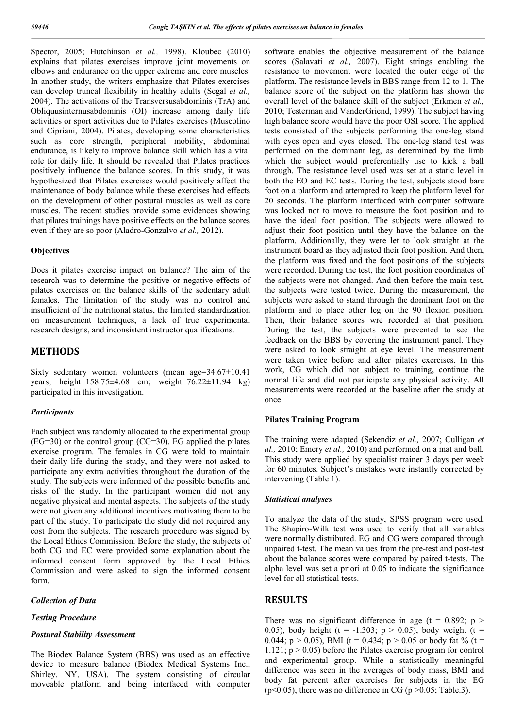Spector, 2005; Hutchinson *et al.,* 1998). Kloubec (2010) explains that pilates exercises improve joint movements on elbows and endurance on the upper extreme and core muscles. In another study, the writers emphasize that Pilates exercises can develop truncal flexibility in healthy adults (Segal *et al.,*  2004). The activations of the Transversusabdominis (TrA) and Obliquusinternusabdominis (OI) increase among daily life activities or sport activities due to Pilates exercises (Muscolino and Cipriani, 2004). Pilates, developing some characteristics such as core strength, peripheral mobility, abdominal endurance, is likely to improve balance skill which has a vital role for daily life. It should be revealed that Pilates practices positively influence the balance scores. In this study, it was hypothesized that Pilates exercises would positively affect the maintenance of body balance while these exercises had effects on the development of other postural muscles as well as core muscles. The recent studies provide some evidences showing that pilates trainings have positive effects on the balance scores even if they are so poor (Aladro-Gonzalvo *et al.,* 2012).

#### **Objectives**

Does it pilates exercise impact on balance? The aim of the research was to determine the positive or negative effects of pilates exercises on the balance skills of the sedentary adult females. The limitation of the study was no control and insufficient of the nutritional status, the limited standardization on measurement techniques, a lack of true experimental research designs, and inconsistent instructor qualifications.

## **METHODS**

Sixty sedentary women volunteers (mean age=34.67±10.41 years; height=158.75±4.68 cm; weight=76.22±11.94 kg) participated in this investigation.

### *Participants*

Each subject was randomly allocated to the experimental group  $(EG=30)$  or the control group  $(CG=30)$ . EG applied the pilates exercise program. The females in CG were told to maintain their daily life during the study, and they were not asked to participate any extra activities throughout the duration of the study. The subjects were informed of the possible benefits and risks of the study. In the participant women did not any negative physical and mental aspects. The subjects of the study were not given any additional incentives motivating them to be part of the study. To participate the study did not required any cost from the subjects. The research procedure was signed by the Local Ethics Commission. Before the study, the subjects of both CG and EC were provided some explanation about the informed consent form approved by the Local Ethics Commission and were asked to sign the informed consent form.

#### *Collection of Data*

#### *Testing Procedure*

#### *Postural Stability Assessment*

The Biodex Balance System (BBS) was used as an effective device to measure balance (Biodex Medical Systems Inc., Shirley, NY, USA). The system consisting of circular moveable platform and being interfaced with computer software enables the objective measurement of the balance scores (Salavati *et al.,* 2007). Eight strings enabling the resistance to movement were located the outer edge of the platform. The resistance levels in BBS range from 12 to 1. The balance score of the subject on the platform has shown the overall level of the balance skill of the subject (Erkmen *et al.,*  2010; Testerman and VanderGriend, 1999). The subject having high balance score would have the poor OSI score. The applied tests consisted of the subjects performing the one-leg stand with eyes open and eyes closed. The one-leg stand test was performed on the dominant leg, as determined by the limb which the subject would preferentially use to kick a ball through. The resistance level used was set at a static level in both the EO and EC tests. During the test, subjects stood bare foot on a platform and attempted to keep the platform level for 20 seconds. The platform interfaced with computer software was locked not to move to measure the foot position and to have the ideal foot position. The subjects were allowed to adjust their foot position untıl they have the balance on the platform. Additionally, they were let to look straight at the instrument board as they adjusted their foot position. And then, the platform was fixed and the foot positions of the subjects were recorded. During the test, the foot position coordinates of the subjects were not changed. And then before the main test, the subjects were tested twice. During the measurement, the subjects were asked to stand through the dominant foot on the platform and to place other leg on the 90 flexion position. Then, their balance scores wre recorded at that position. During the test, the subjects were prevented to see the feedback on the BBS by covering the instrument panel. They were asked to look straight at eye level. The measurement were taken twice before and after pilates exercises. In this work, CG which did not subject to training, continue the normal life and did not participate any physical activity. All measurements were recorded at the baseline after the study at once.

### **Pilates Training Program**

The training were adapted (Sekendiz *et al.,* 2007; Culligan *et al.,* 2010; Emery *et al.,* 2010) and performed on a mat and ball. This study were applied by specialist trainer 3 days per week for 60 minutes. Subject's mistakes were instantly corrected by intervening (Table 1).

#### *Statistical analyses*

To analyze the data of the study, SPSS program were used. The Shapiro-Wilk test was used to verify that all variables were normally distributed. EG and CG were compared through unpaired t-test. The mean values from the pre-test and post-test about the balance scores were compared by paired t-tests. The alpha level was set a priori at 0.05 to indicate the significance level for all statistical tests.

# **RESULTS**

There was no significant difference in age ( $t = 0.892$ ; p > 0.05), body height (t = -1.303; p > 0.05), body weight (t = 0.044; p > 0.05), BMI (t = 0.434; p > 0.05 or body fat % (t = 1.121;  $p > 0.05$ ) before the Pilates exercise program for control and experimental group. While a statistically meaningful difference was seen in the averages of body mass, BMI and body fat percent after exercises for subjects in the EG ( $p<0.05$ ), there was no difference in CG ( $p>0.05$ ; Table.3).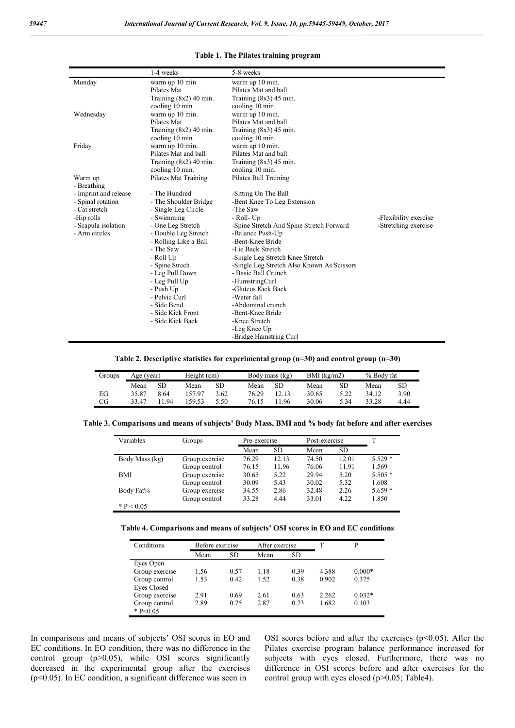|                       | 1-4 weeks                | 5-8 weeks                                  |                       |  |  |  |
|-----------------------|--------------------------|--------------------------------------------|-----------------------|--|--|--|
| Monday                | warm up 10 min           | warm up 10 min.                            |                       |  |  |  |
|                       | Pilates Mat              | Pilates Mat and ball                       |                       |  |  |  |
|                       | Training $(8x2)$ 40 min. | Training $(8x3)$ 45 min.                   |                       |  |  |  |
|                       | cooling 10 min.          | cooling 10 min.                            |                       |  |  |  |
| Wednesday             | warm up 10 min.          | warm up 10 min.                            |                       |  |  |  |
|                       | Pilates Mat              | Pilates Mat and ball                       |                       |  |  |  |
|                       | Training $(8x2)$ 40 min. | Training $(8x3)$ 45 min.                   |                       |  |  |  |
|                       | cooling 10 min.          | cooling 10 min.                            |                       |  |  |  |
| Friday                | warm up 10 min.          | warm up 10 min.                            |                       |  |  |  |
|                       | Pilates Mat and ball     | Pilates Mat and ball                       |                       |  |  |  |
|                       | Training $(8x2)$ 40 min. | Training $(8x3)$ 45 min.                   |                       |  |  |  |
|                       | cooling 10 min.          | cooling 10 min.                            |                       |  |  |  |
| Warm up               | Pilates Mat Training     | Pilates Ball Training                      |                       |  |  |  |
| - Breathing           |                          |                                            |                       |  |  |  |
| - Imprint and release | - The Hundred            | -Sitting On The Ball                       |                       |  |  |  |
| - Spinal rotation     | - The Shoulder Bridge    | -Bent Knee To Leg Extension                |                       |  |  |  |
| - Cat stretch         | - Single Leg Circle      | -The Saw                                   |                       |  |  |  |
| -Hip rolls            | - Swimming               | - Roll- Up                                 | -Flexibility exercise |  |  |  |
| - Scapula isolation   | - One Leg Stretch        | -Spine Stretch And Spine Stretch Forward   | -Stretching exercise  |  |  |  |
| - Arm circles         | - Double Leg Stretch     | -Balance Push-Up                           |                       |  |  |  |
|                       | - Rolling Like a Ball    | -Bent-Knee Bride                           |                       |  |  |  |
|                       | - The Saw                | -Lie Back Stretch                          |                       |  |  |  |
|                       | - Roll Up                | -Single Leg Stretch Knee Stretch           |                       |  |  |  |
|                       | - Spine Strech           | -Single Leg Stretch Also Known As Scissors |                       |  |  |  |
|                       | - Leg Pull Down          | - Basic Ball Crunch                        |                       |  |  |  |
|                       | - Leg Pull Up            | -HumstringCurl                             |                       |  |  |  |
|                       | - Push Up                | -Gluteus Kick Back                         |                       |  |  |  |
|                       | - Pelvic Curl            | -Water fall                                |                       |  |  |  |
|                       | - Side Bend              | -Abdominal crunch                          |                       |  |  |  |
|                       | - Side Kick Front        | -Bent-Knee Bride                           |                       |  |  |  |
|                       | - Side Kick Back         | -Knee Stretch                              |                       |  |  |  |
|                       |                          | -Leg Knee Up                               |                       |  |  |  |
|                       |                          | -Bridge Hamstring Curl                     |                       |  |  |  |

#### **Table 1. The Pilates training program**

#### **Table 2. Descriptive statistics for experimental group (n=30) and control group (n=30)**

| Groups | Age (year) |      | Height (cm) |      |       | Body mass (kg) |       | $BMI$ (kg/m2) |       | % Body fat |  |
|--------|------------|------|-------------|------|-------|----------------|-------|---------------|-------|------------|--|
|        | Mean       | SD   | Mean        | SD   | Mean  | SЕ             | Mean  | SD            | Mean  | SD         |  |
| EG     | 35.87      | 8.64 | 157.97      | 3.62 | 76.29 | 12.13          | 30.65 | 5.22          | 34.12 | 3.90       |  |
| CG     | 33.47      | 94   | 159.53      | 5.50 | 76.15 | 1.96           | 30.06 | 5.34          | 33.28 | 4.44       |  |

**Table 3. Comparisons and means of subjects' Body Mass, BMI and % body fat before and after exercises**

| Variables      | Groups         | Pre-exercise |           | Post-exercise |           | T        |
|----------------|----------------|--------------|-----------|---------------|-----------|----------|
|                |                | Mean         | <b>SD</b> | Mean          | <b>SD</b> |          |
| Body Mass (kg) | Group exercise | 76.29        | 12.13     | 74.50         | 12.01     | $5.529*$ |
|                | Group control  | 76.15        | 11.96     | 76.06         | 11.91     | 1.569    |
| <b>BMI</b>     | Group exercise | 30.65        | 5.22      | 29.94         | 5.20      | $5.505*$ |
|                | Group control  | 30.09        | 5.43      | 30.02         | 5.32      | 1.608    |
| Body Fat%      | Group exercise | 34.55        | 2.86      | 32.48         | 2.26      | $5.659*$ |
|                | Group control  | 33.28        | 4.44      | 33.01         | 4.22      | 1.850    |
| * $P < 0.05$   |                |              |           |               |           |          |

**Table 4. Comparisons and means of subjects' OSI scores in EO and EC conditions**

| Conditions     | Before exercise |           | After exercise |           | T     | Þ        |
|----------------|-----------------|-----------|----------------|-----------|-------|----------|
|                | Mean            | <b>SD</b> | Mean           | <b>SD</b> |       |          |
| Eyes Open      |                 |           |                |           |       |          |
| Group exercise | 1.56            | 0.57      | 1.18           | 0.39      | 4.388 | $0.000*$ |
| Group control  | 1.53            | 0.42      | 1.52           | 0.38      | 0.902 | 0.375    |
| Eyes Closed    |                 |           |                |           |       |          |
| Group exercise | 2.91            | 0.69      | 2.61           | 0.63      | 2.262 | $0.032*$ |
| Group control  | 2.89            | 0.75      | 2.87           | 0.73      | 1.682 | 0.103    |
| * $P < 0.05$   |                 |           |                |           |       |          |

In comparisons and means of subjects' OSI scores in EO and EC conditions. In EO condition, there was no difference in the control group (p>0.05), while OSI scores significantly decreased in the experimental group after the exercises (p<0.05). In EC condition, a significant difference was seen in

OSI scores before and after the exercises  $(p<0.05)$ . After the Pilates exercise program balance performance increased for subjects with eyes closed. Furthermore, there was no difference in OSI scores before and after exercises for the control group with eyes closed (p>0.05; Table4).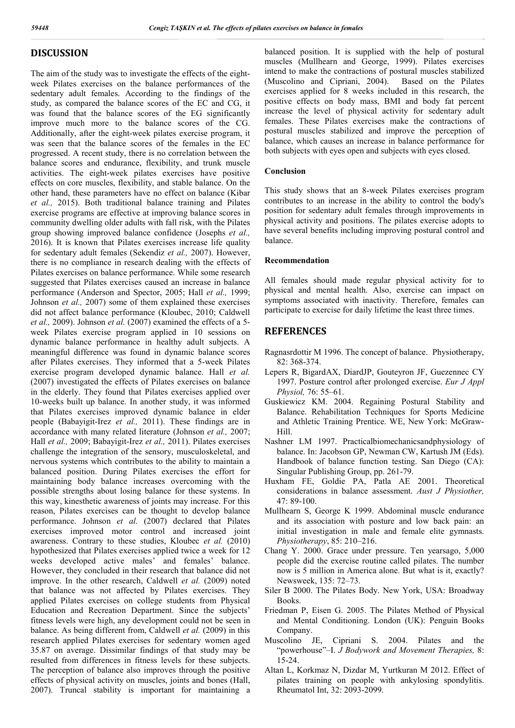# **DISCUSSION**

The aim of the study was to investigate the effects of the eightweek Pilates exercises on the balance performances of the sedentary adult females. According to the findings of the study, as compared the balance scores of the EC and CG, it was found that the balance scores of the EG significantly improve much more to the balance scores of the CG. Additionally, after the eight-week pilates exercise program, it was seen that the balance scores of the females in the EC progressed. A recent study, there is no correlation between the balance scores and endurance, flexibility, and trunk muscle activities. The eight-week pilates exercises have positive effects on core muscles, flexibility, and stable balance. On the other hand, these parameters have no effect on balance (Kibar *et al.,* 2015). Both traditional balance training and Pilates exercise programs are effective at improving balance scores in community dwelling older adults with fall risk, with the Pilates group showing improved balance confidence (Josephs *et al.,*  2016). It is known that Pilates exercises increase life quality for sedentary adult females (Sekendiz *et al.,* 2007). However, there is no compliance in research dealing with the effects of Pilates exercises on balance performance. While some research suggested that Pilates exercises caused an increase in balance performance (Anderson and Spector, 2005; Hall *et al.,* 1999; Johnson *et al.,* 2007) some of them explained these exercises did not affect balance performance (Kloubec, 2010; Caldwell *et al.,* 2009). Johnson *et al.* (2007) examined the effects of a 5 week Pilates exercise program applied in 10 sessions on dynamic balance performance in healthy adult subjects. A meaningful difference was found in dynamic balance scores after Pilates exercises. They informed that a 5-week Pilates exercise program developed dynamic balance. Hall *et al.* (2007) investigated the effects of Pilates exercises on balance in the elderly. They found that Pilates exercises applied over 10-weeks built up balance. In another study, it was informed that Pilates exercises improved dynamic balance in elder people (Babayigit-Irez *et al.,* 2011). These findings are in accordance with many related literature (Johnson *et al.,* 2007; Hall *et al.,* 2009; Babayigit-Irez *et al.,* 2011). Pilates exercises challenge the integration of the sensory, musculoskeletal, and nervous systems which contributes to the ability to maintain a balanced position. During Pilates exercises the effort for maintaining body balance increases overcoming with the possible strengths about losing balance for these systems. In this way, kinesthetic awareness of joints may increase. For this reason, Pilates exercises can be thought to develop balance performance. Johnson *et al.* (2007) declared that Pilates exercises improved motor control and increased joint awareness. Contrary to these studies, Kloubec *et al.* (2010) hypothesized that Pilates exercises applied twice a week for 12 weeks developed active males' and females' balance. However, they concluded in their research that balance did not improve. In the other research, Caldwell *et al.* (2009) noted that balance was not affected by Pilates exercises. They applied Pilates exercises on college students from Physical Education and Recreation Department. Since the subjects' fitness levels were high, any development could not be seen in balance. As being different from, Caldwell *et al.* (2009) in this research applied Pilates exercises for sedentary women aged 35.87 on average. Dissimilar findings of that study may be resulted from differences in fitness levels for these subjects. The perception of balance also improves through the positive effects of physical activity on muscles, joints and bones (Hall, 2007). Truncal stability is important for maintaining a

balanced position. It is supplied with the help of postural muscles (Mullhearn and George, 1999). Pilates exercises intend to make the contractions of postural muscles stabilized (Muscolino and Cipriani, 2004). Based on the Pilates exercises applied for 8 weeks included in this research, the positive effects on body mass, BMI and body fat percent increase the level of physical activity for sedentary adult females. These Pilates exercises make the contractions of postural muscles stabilized and improve the perception of balance, which causes an increase in balance performance for both subjects with eyes open and subjects with eyes closed.

## **Conclusion**

This study shows that an 8-week Pilates exercises program contributes to an increase in the ability to control the body's position for sedentary adult females through improvements in physical activity and positions. The pilates exercise adopts to have several benefits including improving postural control and balance.

## **Recommendation**

All females should made regular physical activity for to physical and mental health. Also, exercise can impact on symptoms associated with inactivity. Therefore, females can participate to exercise for daily lifetime the least three times.

# **REFERENCES**

- Ragnasrdottir M 1996. The concept of balance. Physiotherapy, 82: 368-374.
- Lepers R, BigardAX, DiardJP, Gouteyron JF, Guezennec CY 1997. Posture control after prolonged exercise. *Eur J Appl Physiol,* 76: 55–61.
- Guskiewicz KM. 2004. Regaining Postural Stability and Balance. Rehabilitation Techniques for Sports Medicine and Athletic Training Prentice. WE, New York: McGraw-Hill.
- Nashner LM 1997. Practicalbiomechanicsandphysiology of balance. In: Jacobson GP, Newman CW, Kartush JM (Eds). Handbook of balance function testing. San Diego (CA): Singular Publishing Group, pp. 261-79.
- Huxham FE, Goldie PA, Patla AE 2001. Theoretical considerations in balance assessment. *Aust J Physiother,* 47: 89-100.
- Mullhearn S, George K 1999. Abdominal muscle endurance and its association with posture and low back pain: an initial investigation in male and female elite gymnasts. *Physiotherapy*, 85: 210–216.
- Chang Y. 2000. Grace under pressure. Ten yearsago, 5,000 people did the exercise routine called pilates. The number now is 5 million in America alone. But what is it, exactly? Newsweek, 135: 72–73.
- Siler B 2000. The Pilates Body. New York, USA: Broadway Books.
- Friedman P, Eisen G. 2005. The Pilates Method of Physical and Mental Conditioning. London (UK): Penguin Books Company.
- Muscolino JE, Cipriani S. 2004. Pilates and the "powerhouse"–I. *J Bodywork and Movement Therapies,* 8: 15-24.
- Altan L, Korkmaz N, Dizdar M, Yurtkuran M 2012. Effect of pilates training on people with ankylosing spondylitis. Rheumatol Int, 32: 2093-2099.